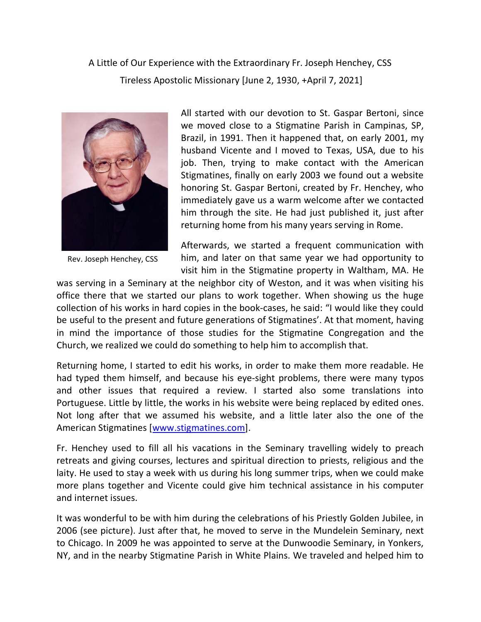A Little of Our Experience with the Extraordinary Fr. Joseph Henchey, CSS Tireless Apostolic Missionary [June 2, 1930, +April 7, 2021]



Rev. Joseph Henchey, CSS

All started with our devotion to St. Gaspar Bertoni, since we moved close to a Stigmatine Parish in Campinas, SP, Brazil, in 1991. Then it happened that, on early 2001, my husband Vicente and I moved to Texas, USA, due to his job. Then, trying to make contact with the American Stigmatines, finally on early 2003 we found out a website honoring St. Gaspar Bertoni, created by Fr. Henchey, who immediately gave us a warm welcome after we contacted him through the site. He had just published it, just after returning home from his many years serving in Rome.

Afterwards, we started a frequent communication with him, and later on that same year we had opportunity to visit him in the Stigmatine property in Waltham, MA. He

was serving in a Seminary at the neighbor city of Weston, and it was when visiting his office there that we started our plans to work together. When showing us the huge collection of his works in hard copies in the book-cases, he said: "I would like they could be useful to the present and future generations of Stigmatines'. At that moment, having in mind the importance of those studies for the Stigmatine Congregation and the Church, we realized we could do something to help him to accomplish that.

Returning home, I started to edit his works, in order to make them more readable. He had typed them himself, and because his eye-sight problems, there were many typos and other issues that required a review. I started also some translations into Portuguese. Little by little, the works in his website were being replaced by edited ones. Not long after that we assumed his website, and a little later also the one of the American Stigmatines [www.stigmatines.com].

Fr. Henchey used to fill all his vacations in the Seminary travelling widely to preach retreats and giving courses, lectures and spiritual direction to priests, religious and the laity. He used to stay a week with us during his long summer trips, when we could make more plans together and Vicente could give him technical assistance in his computer and internet issues.

It was wonderful to be with him during the celebrations of his Priestly Golden Jubilee, in 2006 (see picture). Just after that, he moved to serve in the Mundelein Seminary, next to Chicago. In 2009 he was appointed to serve at the Dunwoodie Seminary, in Yonkers, NY, and in the nearby Stigmatine Parish in White Plains. We traveled and helped him to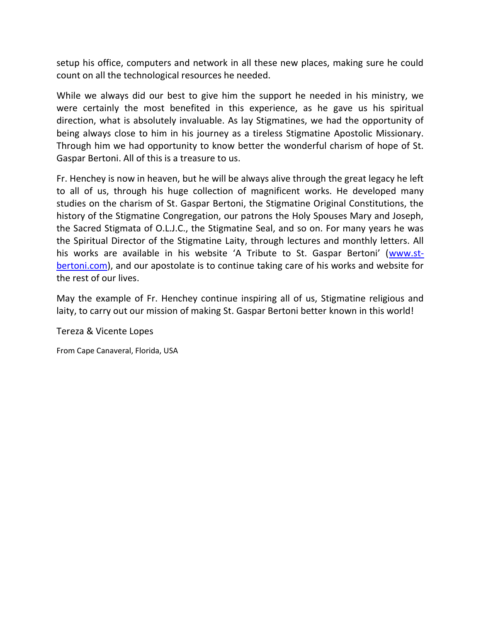setup his office, computers and network in all these new places, making sure he could count on all the technological resources he needed.

While we always did our best to give him the support he needed in his ministry, we were certainly the most benefited in this experience, as he gave us his spiritual direction, what is absolutely invaluable. As lay Stigmatines, we had the opportunity of being always close to him in his journey as a tireless Stigmatine Apostolic Missionary. Through him we had opportunity to know better the wonderful charism of hope of St. Gaspar Bertoni. All of this is a treasure to us.

Fr. Henchey is now in heaven, but he will be always alive through the great legacy he left to all of us, through his huge collection of magnificent works. He developed many studies on the charism of St. Gaspar Bertoni, the Stigmatine Original Constitutions, the history of the Stigmatine Congregation, our patrons the Holy Spouses Mary and Joseph, the Sacred Stigmata of O.L.J.C., the Stigmatine Seal, and so on. For many years he was the Spiritual Director of the Stigmatine Laity, through lectures and monthly letters. All his works are available in his website 'A Tribute to St. Gaspar Bertoni' (www.stbertoni.com), and our apostolate is to continue taking care of his works and website for the rest of our lives.

May the example of Fr. Henchey continue inspiring all of us, Stigmatine religious and laity, to carry out our mission of making St. Gaspar Bertoni better known in this world!

## Tereza & Vicente Lopes

From Cape Canaveral, Florida, USA